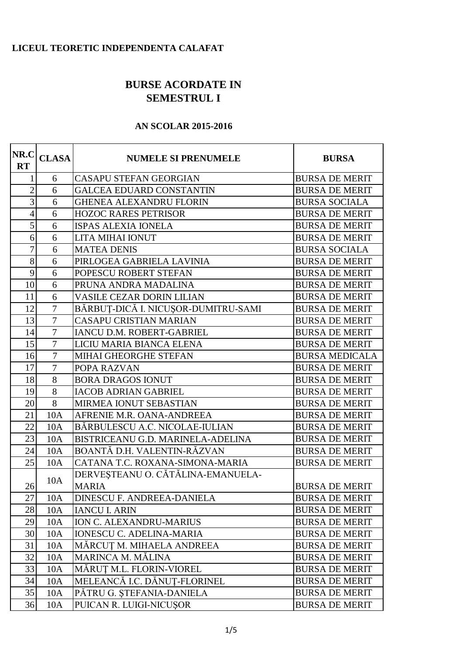## **LICEUL TEORETIC INDEPENDENTA CALAFAT**

## **BURSE ACORDATE IN SEMESTRUL I**

## **AN SCOLAR 2015-2016**

| NR.C<br><b>RT</b> | <b>CLASA</b>   | <b>NUMELE SI PRENUMELE</b>          | <b>BURSA</b>          |
|-------------------|----------------|-------------------------------------|-----------------------|
| 1                 | 6              | <b>CASAPU STEFAN GEORGIAN</b>       | <b>BURSA DE MERIT</b> |
| $\overline{2}$    | 6              | <b>GALCEA EDUARD CONSTANTIN</b>     | <b>BURSA DE MERIT</b> |
| $\mathfrak{Z}$    | 6              | <b>GHENEA ALEXANDRU FLORIN</b>      | <b>BURSA SOCIALA</b>  |
| $\overline{4}$    | 6              | <b>HOZOC RARES PETRISOR</b>         | <b>BURSA DE MERIT</b> |
| 5                 | 6              | <b>ISPAS ALEXIA IONELA</b>          | <b>BURSA DE MERIT</b> |
| 6                 | 6              | LITA MIHAI IONUT                    | <b>BURSA DE MERIT</b> |
| $\overline{7}$    | 6              | <b>MATEA DENIS</b>                  | <b>BURSA SOCIALA</b>  |
| 8                 | 6              | PIRLOGEA GABRIELA LAVINIA           | <b>BURSA DE MERIT</b> |
| 9                 | 6              | POPESCU ROBERT STEFAN               | <b>BURSA DE MERIT</b> |
| 10                | 6              | PRUNA ANDRA MADALINA                | <b>BURSA DE MERIT</b> |
| 11                | 6              | <b>VASILE CEZAR DORIN LILIAN</b>    | <b>BURSA DE MERIT</b> |
| 12                | $\overline{7}$ | BĂRBUȚ-DICĂ I. NICUȘOR-DUMITRU-SAMI | <b>BURSA DE MERIT</b> |
| 13                | $\overline{7}$ | <b>CASAPU CRISTIAN MARIAN</b>       | <b>BURSA DE MERIT</b> |
| 14                | $\tau$         | IANCU D.M. ROBERT-GABRIEL           | <b>BURSA DE MERIT</b> |
| 15                | $\overline{7}$ | LICIU MARIA BIANCA ELENA            | <b>BURSA DE MERIT</b> |
| 16                | $\overline{7}$ | MIHAI GHEORGHE STEFAN               | <b>BURSA MEDICALA</b> |
| 17                | $\overline{7}$ | POPA RAZVAN                         | <b>BURSA DE MERIT</b> |
| 18                | 8              | <b>BORA DRAGOS IONUT</b>            | <b>BURSA DE MERIT</b> |
| 19                | 8              | <b>IACOB ADRIAN GABRIEL</b>         | <b>BURSA DE MERIT</b> |
| 20                | 8              | MIRMEA IONUT SEBASTIAN              | <b>BURSA DE MERIT</b> |
| 21                | 10A            | AFRENIE M.R. OANA-ANDREEA           | <b>BURSA DE MERIT</b> |
| 22                | 10A            | BĂRBULESCU A.C. NICOLAE-IULIAN      | <b>BURSA DE MERIT</b> |
| 23                | 10A            | BISTRICEANU G.D. MARINELA-ADELINA   | <b>BURSA DE MERIT</b> |
| 24                | 10A            | BOANTĂ D.H. VALENTIN-RĂZVAN         | <b>BURSA DE MERIT</b> |
| 25                | 10A            | CATANA T.C. ROXANA-SIMONA-MARIA     | <b>BURSA DE MERIT</b> |
|                   | 10A            | DERVEȘTEANU O. CĂTĂLINA-EMANUELA-   |                       |
| 26                |                | <b>MARIA</b>                        | <b>BURSA DE MERIT</b> |
| 27                | 10A            | <b>DINESCU F. ANDREEA-DANIELA</b>   | <b>BURSA DE MERIT</b> |
| 28                | 10A            | <b>IANCU I. ARIN</b>                | <b>BURSA DE MERIT</b> |
| 29                | 10A            | ION C. ALEXANDRU-MARIUS             | <b>BURSA DE MERIT</b> |
| 30                | 10A            | <b>IONESCU C. ADELINA-MARIA</b>     | <b>BURSA DE MERIT</b> |
| 31                | 10A            | MĂRCUȚ M. MIHAELA ANDREEA           | <b>BURSA DE MERIT</b> |
| 32                | 10A            | MARINCA M. MĂLINA                   | <b>BURSA DE MERIT</b> |
| 33                | 10A            | MĂRUȚ M.L. FLORIN-VIOREL            | <b>BURSA DE MERIT</b> |
| 34                | 10A            | MELEANCĂ I.C. DĂNUT-FLORINEL        | <b>BURSA DE MERIT</b> |
| 35                | 10A            | PĂTRU G. ȘTEFANIA-DANIELA           | <b>BURSA DE MERIT</b> |
| 36                | 10A            | PUICAN R. LUIGI-NICUȘOR             | <b>BURSA DE MERIT</b> |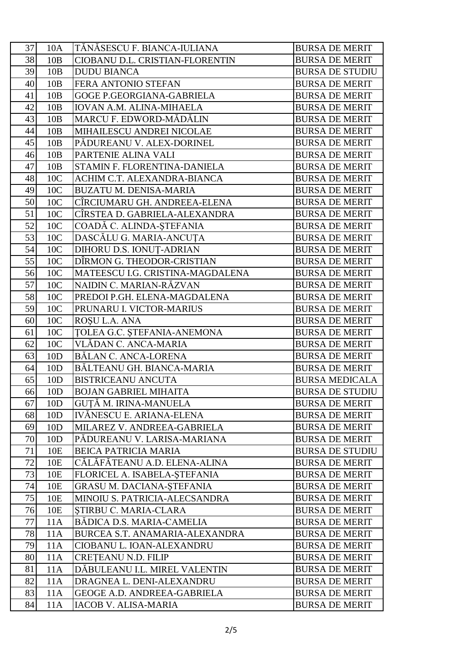| 37 | 10A             | TĂNĂSESCU F. BIANCA-IULIANA        | <b>BURSA DE MERIT</b>  |
|----|-----------------|------------------------------------|------------------------|
| 38 | 10B             | CIOBANU D.L. CRISTIAN-FLORENTIN    | <b>BURSA DE MERIT</b>  |
| 39 | 10B             | <b>DUDU BIANCA</b>                 | <b>BURSA DE STUDIU</b> |
| 40 | 10B             | <b>FERA ANTONIO STEFAN</b>         | <b>BURSA DE MERIT</b>  |
| 41 | 10B             | <b>GOGE P.GEORGIANA-GABRIELA</b>   | <b>BURSA DE MERIT</b>  |
| 42 | 10B             | <b>IOVAN A.M. ALINA-MIHAELA</b>    | <b>BURSA DE MERIT</b>  |
| 43 | 10B             | MARCU F. EDWORD-MĂDĂLIN            | <b>BURSA DE MERIT</b>  |
| 44 | 10B             | MIHAILESCU ANDREI NICOLAE          | <b>BURSA DE MERIT</b>  |
| 45 | 10B             | PĂDUREANU V. ALEX-DORINEL          | <b>BURSA DE MERIT</b>  |
| 46 | 10B             | PARTENIE ALINA VALI                | <b>BURSA DE MERIT</b>  |
| 47 | 10B             | STAMIN F. FLORENTINA-DANIELA       | <b>BURSA DE MERIT</b>  |
| 48 | 10C             | ACHIM C.T. ALEXANDRA-BIANCA        | <b>BURSA DE MERIT</b>  |
| 49 | 10C             | <b>BUZATU M. DENISA-MARIA</b>      | <b>BURSA DE MERIT</b>  |
| 50 | 10C             | CÎRCIUMARU GH. ANDREEA-ELENA       | <b>BURSA DE MERIT</b>  |
| 51 | 10C             | CÎRSTEA D. GABRIELA-ALEXANDRA      | <b>BURSA DE MERIT</b>  |
| 52 | 10C             | COADĂ C. ALINDA-ȘTEFANIA           | <b>BURSA DE MERIT</b>  |
| 53 | 10C             | DASCĂLU G. MARIA-ANCUTA            | <b>BURSA DE MERIT</b>  |
| 54 | 10C             | DIHORU D.S. IONUT-ADRIAN           | <b>BURSA DE MERIT</b>  |
| 55 | 10C             | DÎRMON G. THEODOR-CRISTIAN         | <b>BURSA DE MERIT</b>  |
| 56 | 10C             | MATEESCU I.G. CRISTINA-MAGDALENA   | <b>BURSA DE MERIT</b>  |
| 57 | 10C             | NAIDIN C. MARIAN-RĂZVAN            | <b>BURSA DE MERIT</b>  |
| 58 | 10C             | PREDOI P.GH. ELENA-MAGDALENA       | <b>BURSA DE MERIT</b>  |
| 59 | 10C             | PRUNARU I. VICTOR-MARIUS           | <b>BURSA DE MERIT</b>  |
| 60 | 10C             | ROSU L.A. ANA                      | <b>BURSA DE MERIT</b>  |
| 61 | 10C             | <b>TOLEA G.C. STEFANIA-ANEMONA</b> | <b>BURSA DE MERIT</b>  |
| 62 | 10C             | VLĂDAN C. ANCA-MARIA               | <b>BURSA DE MERIT</b>  |
| 63 | 10D             | BĂLAN C. ANCA-LORENA               | <b>BURSA DE MERIT</b>  |
| 64 | 10D             | BĂLTEANU GH. BIANCA-MARIA          | <b>BURSA DE MERIT</b>  |
| 65 | 10D             | <b>BISTRICEANU ANCUTA</b>          | <b>BURSA MEDICALA</b>  |
| 66 | 10D             | <b>BOJAN GABRIEL MIHAITA</b>       | <b>BURSA DE STUDIU</b> |
| 67 | 10D             | GUTĂ M. IRINA-MANUELA              | <b>BURSA DE MERIT</b>  |
| 68 | 10D             | IVĂNESCU E. ARIANA-ELENA           | <b>BURSA DE MERIT</b>  |
| 69 | 10D             | MILAREZ V. ANDREEA-GABRIELA        | <b>BURSA DE MERIT</b>  |
| 70 | 10D             | PĂDUREANU V. LARISA-MARIANA        | <b>BURSA DE MERIT</b>  |
| 71 | 10 <sub>E</sub> | <b>BEICA PATRICIA MARIA</b>        | <b>BURSA DE STUDIU</b> |
| 72 | 10E             | CĂLĂFĂTEANU A.D. ELENA-ALINA       | <b>BURSA DE MERIT</b>  |
| 73 | 10E             | FLORICEL A. ISABELA-STEFANIA       | <b>BURSA DE MERIT</b>  |
| 74 | 10E             | <b>GRASU M. DACIANA-STEFANIA</b>   | <b>BURSA DE MERIT</b>  |
| 75 | 10E             | MINOIU S. PATRICIA-ALECSANDRA      | <b>BURSA DE MERIT</b>  |
| 76 | 10E             | STIRBU C. MARIA-CLARA              | <b>BURSA DE MERIT</b>  |
| 77 | 11A             | BÁDICA D.S. MARIA-CAMELIA          | <b>BURSA DE MERIT</b>  |
| 78 | 11A             | BURCEA S.T. ANAMARIA-ALEXANDRA     | <b>BURSA DE MERIT</b>  |
| 79 | 11A             | CIOBANU L. IOAN-ALEXANDRU          | <b>BURSA DE MERIT</b>  |
| 80 | 11A             | <b>CRETEANU N.D. FILIP</b>         | <b>BURSA DE MERIT</b>  |
| 81 | 11A             | DĂBULEANU I.L. MIREL VALENTIN      | <b>BURSA DE MERIT</b>  |
| 82 | 11A             | DRAGNEA L. DENI-ALEXANDRU          | <b>BURSA DE MERIT</b>  |
| 83 | 11A             | <b>GEOGE A.D. ANDREEA-GABRIELA</b> | <b>BURSA DE MERIT</b>  |
| 84 | 11A             | <b>IACOB V. ALISA-MARIA</b>        | <b>BURSA DE MERIT</b>  |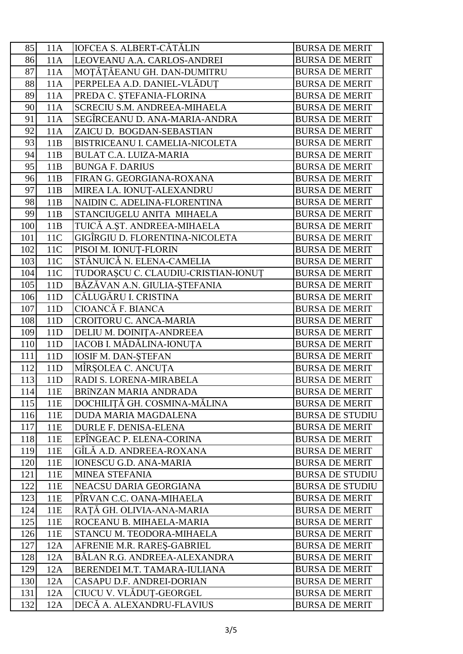| 85  | 11A | <b>IOFCEA S. ALBERT-CĂTĂLIN</b>     | <b>BURSA DE MERIT</b>  |
|-----|-----|-------------------------------------|------------------------|
| 86  | 11A | LEOVEANU A.A. CARLOS-ANDREI         | <b>BURSA DE MERIT</b>  |
| 87  | 11A | MOȚĂȚĂEANU GH. DAN-DUMITRU          | <b>BURSA DE MERIT</b>  |
| 88  | 11A | PERPELEA A.D. DANIEL-VLĂDUȚ         | <b>BURSA DE MERIT</b>  |
| 89  | 11A | PREDA C. ȘTEFANIA-FLORINA           | <b>BURSA DE MERIT</b>  |
| 90  | 11A | SCRECIU S.M. ANDREEA-MIHAELA        | <b>BURSA DE MERIT</b>  |
| 91  | 11A | SEGÎRCEANU D. ANA-MARIA-ANDRA       | <b>BURSA DE MERIT</b>  |
| 92  | 11A | ZAICU D. BOGDAN-SEBASTIAN           | <b>BURSA DE MERIT</b>  |
| 93  | 11B | BISTRICEANU I. CAMELIA-NICOLETA     | <b>BURSA DE MERIT</b>  |
| 94  | 11B | <b>BULAT C.A. LUIZA-MARIA</b>       | <b>BURSA DE MERIT</b>  |
| 95  | 11B | <b>BUNGA F. DARIUS</b>              | <b>BURSA DE MERIT</b>  |
| 96  | 11B | FIRAN G. GEORGIANA-ROXANA           | <b>BURSA DE MERIT</b>  |
| 97  | 11B | MIREA I.A. IONUȚ-ALEXANDRU          | <b>BURSA DE MERIT</b>  |
| 98  | 11B | NAIDIN C. ADELINA-FLORENTINA        | <b>BURSA DE MERIT</b>  |
| 99  | 11B | STANCIUGELU ANITA MIHAELA           | <b>BURSA DE MERIT</b>  |
| 100 | 11B | TUICĂ A.ȘT. ANDREEA-MIHAELA         | <b>BURSA DE MERIT</b>  |
| 101 | 11C | GIGÎRGIU D. FLORENTINA-NICOLETA     | <b>BURSA DE MERIT</b>  |
| 102 | 11C | PISOI M. IONUȚ-FLORIN               | <b>BURSA DE MERIT</b>  |
| 103 | 11C | STĂNUICĂ N. ELENA-CAMELIA           | <b>BURSA DE MERIT</b>  |
| 104 | 11C | TUDORAȘCU C. CLAUDIU-CRISTIAN-IONUȚ | <b>BURSA DE MERIT</b>  |
| 105 | 11D | BĂZĂVAN A.N. GIULIA-ȘTEFANIA        | <b>BURSA DE MERIT</b>  |
| 106 | 11D | CĂLUGĂRU I. CRISTINA                | <b>BURSA DE MERIT</b>  |
| 107 | 11D | CIOANCĂ F. BIANCA                   | <b>BURSA DE MERIT</b>  |
| 108 | 11D | CROITORU C. ANCA-MARIA              | <b>BURSA DE MERIT</b>  |
| 109 | 11D | DELIU M. DOINIȚA-ANDREEA            | <b>BURSA DE MERIT</b>  |
| 110 | 11D | IACOB I. MĂDĂLINA-IONUTA            | <b>BURSA DE MERIT</b>  |
| 111 | 11D | <b>IOSIF M. DAN-STEFAN</b>          | <b>BURSA DE MERIT</b>  |
| 112 | 11D | MÎRȘOLEA C. ANCUȚA                  | <b>BURSA DE MERIT</b>  |
| 113 | 11D | RADI S. LORENA-MIRABELA             | <b>BURSA DE MERIT</b>  |
| 114 | 11E | BRÎNZAN MARIA ANDRADA               | <b>BURSA DE MERIT</b>  |
| 115 | 11E | DOCHILITĂ GH. COSMINA-MĂLINA        | <b>BURSA DE MERIT</b>  |
| 116 | 11E | DUDA MARIA MAGDALENA                | <b>BURSA DE STUDIU</b> |
| 117 | 11E | <b>DURLE F. DENISA-ELENA</b>        | <b>BURSA DE MERIT</b>  |
| 118 | 11E | EPÎNGEAC P. ELENA-CORINA            | <b>BURSA DE MERIT</b>  |
| 119 | 11E | GÎLĂ A.D. ANDREEA-ROXANA            | <b>BURSA DE MERIT</b>  |
| 120 | 11E | <b>IONESCU G.D. ANA-MARIA</b>       | <b>BURSA DE MERIT</b>  |
| 121 | 11E | <b>MINEA STEFANIA</b>               | <b>BURSA DE STUDIU</b> |
| 122 | 11E | NEACSU DARIA GEORGIANA              | <b>BURSA DE STUDIU</b> |
| 123 | 11E | PÎRVAN C.C. OANA-MIHAELA            | <b>BURSA DE MERIT</b>  |
| 124 | 11E | RAȚĂ GH. OLIVIA-ANA-MARIA           | <b>BURSA DE MERIT</b>  |
| 125 | 11E | ROCEANU B. MIHAELA-MARIA            | <b>BURSA DE MERIT</b>  |
| 126 | 11E | STANCU M. TEODORA-MIHAELA           | <b>BURSA DE MERIT</b>  |
| 127 | 12A | AFRENIE M.R. RARES-GABRIEL          | <b>BURSA DE MERIT</b>  |
| 128 | 12A | BĂLAN R.G. ANDREEA-ALEXANDRA        | <b>BURSA DE MERIT</b>  |
| 129 | 12A | BERENDEI M.T. TAMARA-IULIANA        | <b>BURSA DE MERIT</b>  |
| 130 | 12A | CASAPU D.F. ANDREI-DORIAN           | <b>BURSA DE MERIT</b>  |
| 131 | 12A | CIUCU V. VLĂDUȚ-GEORGEL             | <b>BURSA DE MERIT</b>  |
| 132 | 12A | DECĂ A. ALEXANDRU-FLAVIUS           | <b>BURSA DE MERIT</b>  |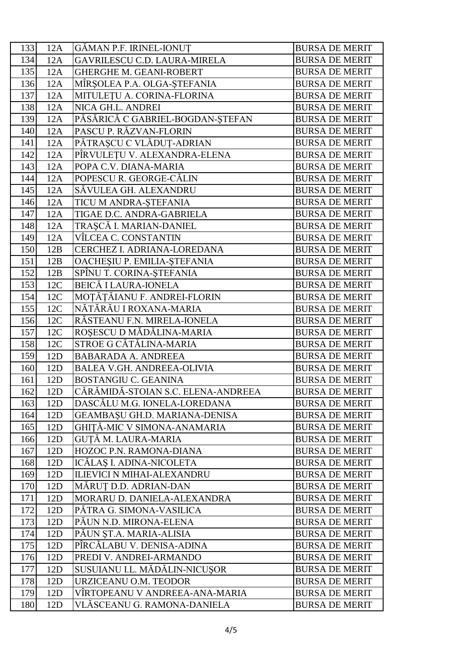| 133 | 12A | <b>GĂMAN P.F. IRINEL-IONUT</b>     | <b>BURSA DE MERIT</b> |
|-----|-----|------------------------------------|-----------------------|
| 134 | 12A | GAVRILESCU C.D. LAURA-MIRELA       | <b>BURSA DE MERIT</b> |
| 135 | 12A | <b>GHERGHE M. GEANI-ROBERT</b>     | <b>BURSA DE MERIT</b> |
| 136 | 12A | MÎRȘOLEA P.A. OLGA-ȘTEFANIA        | <b>BURSA DE MERIT</b> |
| 137 | 12A | MITULEȚU A. CORINA-FLORINA         | <b>BURSA DE MERIT</b> |
| 138 | 12A | NICA GH.L. ANDREI                  | <b>BURSA DE MERIT</b> |
| 139 | 12A | PĂSĂRICĂ C GABRIEL-BOGDAN-ȘTEFAN   | <b>BURSA DE MERIT</b> |
| 140 | 12A | PASCU P. RĂZVAN-FLORIN             | <b>BURSA DE MERIT</b> |
| 141 | 12A | PĂTRAȘCU C VLĂDUȚ-ADRIAN           | <b>BURSA DE MERIT</b> |
| 142 | 12A | PÎRVULEȚU V. ALEXANDRA-ELENA       | <b>BURSA DE MERIT</b> |
| 143 | 12A | POPA C.V. DIANA-MARIA              | <b>BURSA DE MERIT</b> |
| 144 | 12A | POPESCU R. GEORGE-CĂLIN            | <b>BURSA DE MERIT</b> |
| 145 | 12A | SĂVULEA GH. ALEXANDRU              | <b>BURSA DE MERIT</b> |
| 146 | 12A | TICU M ANDRA-ȘTEFANIA              | <b>BURSA DE MERIT</b> |
| 147 | 12A | TIGAE D.C. ANDRA-GABRIELA          | <b>BURSA DE MERIT</b> |
| 148 | 12A | TRAȘCĂ I. MARIAN-DANIEL            | <b>BURSA DE MERIT</b> |
| 149 | 12A | VÎLCEA C. CONSTANTIN               | <b>BURSA DE MERIT</b> |
| 150 | 12B | CERCHEZ I. ADRIANA-LOREDANA        | <b>BURSA DE MERIT</b> |
| 151 | 12B | OACHEȘIU P. EMILIA-ȘTEFANIA        | <b>BURSA DE MERIT</b> |
| 152 | 12B | SPÎNU T. CORINA-ȘTEFANIA           | <b>BURSA DE MERIT</b> |
| 153 | 12C | <b>BEICĂ I LAURA-IONELA</b>        | <b>BURSA DE MERIT</b> |
| 154 | 12C | MOȚĂȚĂIANU F. ANDREI-FLORIN        | <b>BURSA DE MERIT</b> |
| 155 | 12C | NĂTĂRĂU I ROXANA-MARIA             | <b>BURSA DE MERIT</b> |
| 156 | 12C | RĂSTEANU F.N. MIRELA-IONELA        | <b>BURSA DE MERIT</b> |
| 157 | 12C | ROȘESCU D MĂDĂLINA-MARIA           | <b>BURSA DE MERIT</b> |
| 158 | 12C | STROE G CĂTĂLINA-MARIA             | <b>BURSA DE MERIT</b> |
| 159 | 12D | <b>BABARADA A. ANDREEA</b>         | <b>BURSA DE MERIT</b> |
| 160 | 12D | <b>BALEA V.GH. ANDREEA-OLIVIA</b>  | <b>BURSA DE MERIT</b> |
| 161 | 12D | <b>BOSTANGIU C. GEANINA</b>        | <b>BURSA DE MERIT</b> |
| 162 | 12D | CĂRĂMIDĂ-STOIAN S.C. ELENA-ANDREEA | <b>BURSA DE MERIT</b> |
| 163 | 12D | DASCĂLU M.G. IONELA-LOREDANA       | <b>BURSA DE MERIT</b> |
| 164 | 12D | GEAMBASU GH.D. MARIANA-DENISA      | <b>BURSA DE MERIT</b> |
| 165 | 12D | GHITĂ-MIC V SIMONA-ANAMARIA        | <b>BURSA DE MERIT</b> |
| 166 | 12D | GUȚĂ M. LAURA-MARIA                | <b>BURSA DE MERIT</b> |
| 167 | 12D | HOZOC P.N. RAMONA-DIANA            | <b>BURSA DE MERIT</b> |
| 168 | 12D | ICĂLAȘ I. ADINA-NICOLETA           | <b>BURSA DE MERIT</b> |
| 169 | 12D | <b>ILIEVICI N MIHAI-ALEXANDRU</b>  | <b>BURSA DE MERIT</b> |
| 170 | 12D | MĂRUT D.D. ADRIAN-DAN              | <b>BURSA DE MERIT</b> |
| 171 | 12D | MORARU D. DANIELA-ALEXANDRA        | <b>BURSA DE MERIT</b> |
| 172 | 12D | PÁTRA G. SIMONA-VASILICA           | <b>BURSA DE MERIT</b> |
| 173 | 12D | PÁUN N.D. MIRONA-ELENA             | <b>BURSA DE MERIT</b> |
| 174 | 12D | PĂUN ȘT.A. MARIA-ALISIA            | <b>BURSA DE MERIT</b> |
| 175 | 12D | PÎRCĂLABU V. DENISA-ADINA          | <b>BURSA DE MERIT</b> |
| 176 | 12D | PREDI V. ANDREI-ARMANDO            | <b>BURSA DE MERIT</b> |
| 177 | 12D | SUSUIANU I.L. MĂDĂLIN-NICUȘOR      | <b>BURSA DE MERIT</b> |
| 178 | 12D | URZICEANU O.M. TEODOR              | <b>BURSA DE MERIT</b> |
| 179 | 12D | VÎRTOPEANU V ANDREEA-ANA-MARIA     | <b>BURSA DE MERIT</b> |
| 180 | 12D | VLÁSCEANU G. RAMONA-DANIELA        | <b>BURSA DE MERIT</b> |